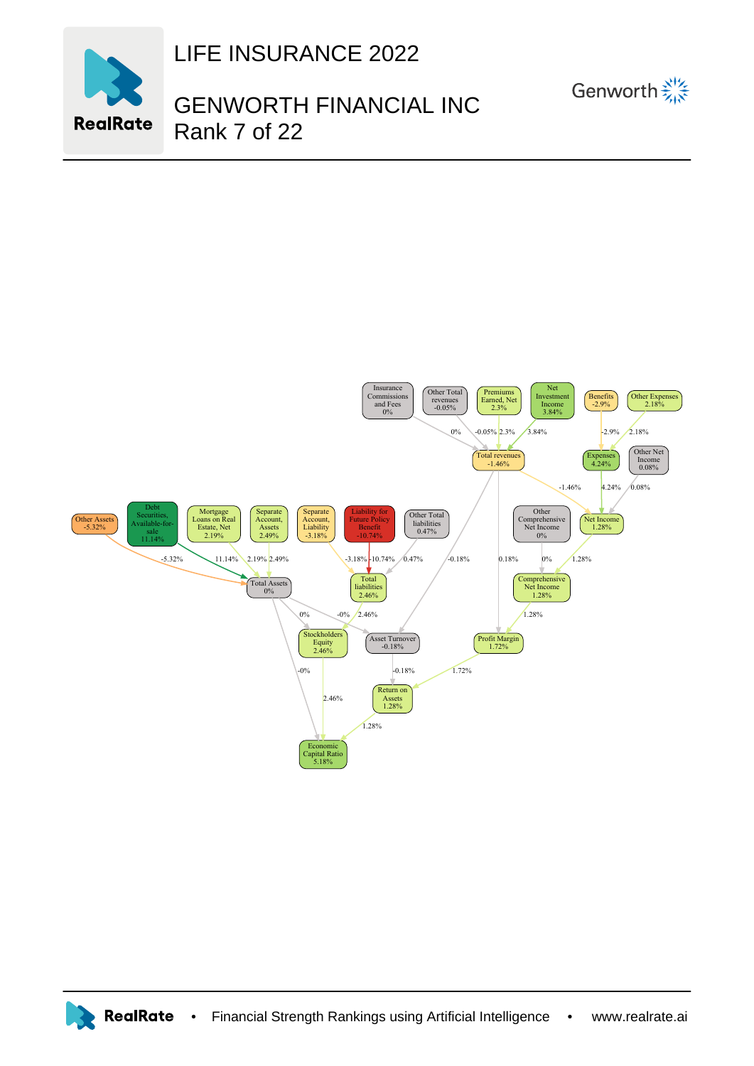

LIFE INSURANCE 2022

## GENWORTH FINANCIAL INC Rank 7 of 22